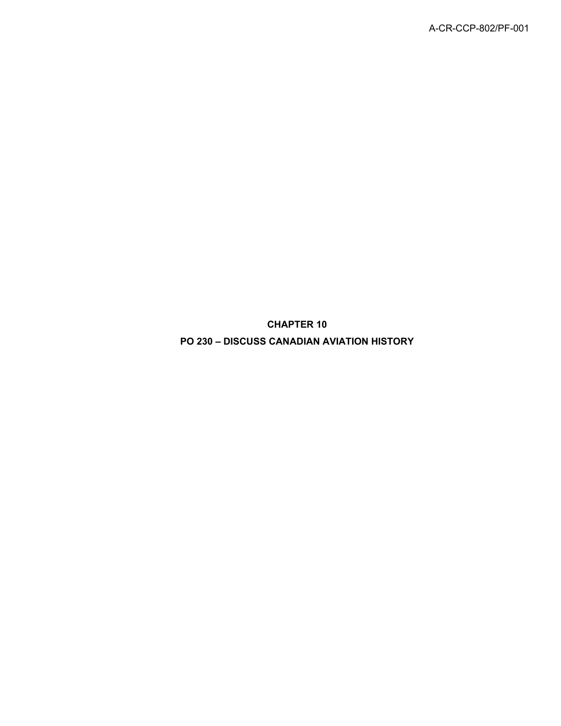CHAPTER 10

PO 230 – DISCUSS CANADIAN AVIATION HISTORY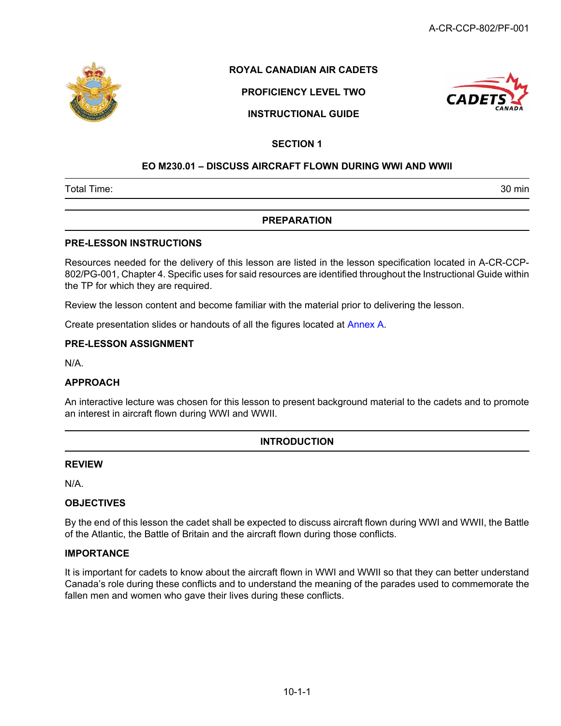

# ROYAL CANADIAN AIR CADETS

# PROFICIENCY LEVEL TWO



INSTRUCTIONAL GUIDE

# SECTION 1

# EO M230.01 – DISCUSS AIRCRAFT FLOWN DURING WWI AND WWII

Total Time: 30 min

# PREPARATION

## PRE-LESSON INSTRUCTIONS

Resources needed for the delivery of this lesson are listed in the lesson specification located in A-CR-CCP-802/PG-001, Chapter 4. Specific uses for said resources are identified throughout the Instructional Guide within the TP for which they are required.

Review the lesson content and become familiar with the material prior to delivering the lesson.

Create presentation slides or handouts of all the figures located at Annex A.

## PRE-LESSON ASSIGNMENT

N/A.

# APPROACH

An interactive lecture was chosen for this lesson to present background material to the cadets and to promote an interest in aircraft flown during WWI and WWII.

# INTRODUCTION

## REVIEW

N/A.

## **OBJECTIVES**

By the end of this lesson the cadet shall be expected to discuss aircraft flown during WWI and WWII, the Battle of the Atlantic, the Battle of Britain and the aircraft flown during those conflicts.

## **IMPORTANCE**

It is important for cadets to know about the aircraft flown in WWI and WWII so that they can better understand Canada's role during these conflicts and to understand the meaning of the parades used to commemorate the fallen men and women who gave their lives during these conflicts.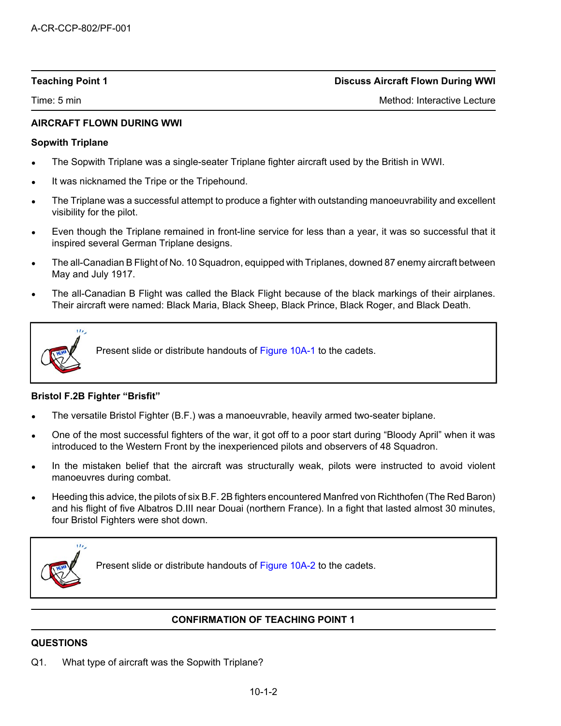Teaching Point 1 **Teaching Point 1 Discuss Aircraft Flown During WWI** 

Time: 5 min Method: Interactive Lecture Companies and Method: Interactive Lecture

# AIRCRAFT FLOWN DURING WWI

# Sopwith Triplane

- The Sopwith Triplane was a single-seater Triplane fighter aircraft used by the British in WWI.
- It was nicknamed the Tripe or the Tripehound.
- The Triplane was a successful attempt to produce a fighter with outstanding manoeuvrability and excellent visibility for the pilot.
- Even though the Triplane remained in front-line service for less than a year, it was so successful that it inspired several German Triplane designs.
- The all-Canadian B Flight of No. 10 Squadron, equipped with Triplanes, downed 87 enemy aircraft between May and July 1917.
- The all-Canadian B Flight was called the Black Flight because of the black markings of their airplanes. Their aircraft were named: Black Maria, Black Sheep, Black Prince, Black Roger, and Black Death.



Present slide or distribute handouts of Figure 10A-1 to the cadets.

# Bristol F.2B Fighter "Brisfit"

- The versatile Bristol Fighter (B.F.) was a manoeuvrable, heavily armed two-seater biplane.
- One of the most successful fighters of the war, it got off to a poor start during "Bloody April" when it was introduced to the Western Front by the inexperienced pilots and observers of 48 Squadron.
- In the mistaken belief that the aircraft was structurally weak, pilots were instructed to avoid violent manoeuvres during combat.
- Heeding this advice, the pilots of six B.F. 2B fighters encountered Manfred von Richthofen (The Red Baron) and his flight of five Albatros D.III near Douai (northern France). In a fight that lasted almost 30 minutes, four Bristol Fighters were shot down.



Present slide or distribute handouts of Figure 10A-2 to the cadets.

# CONFIRMATION OF TEACHING POINT 1

# **QUESTIONS**

Q1. What type of aircraft was the Sopwith Triplane?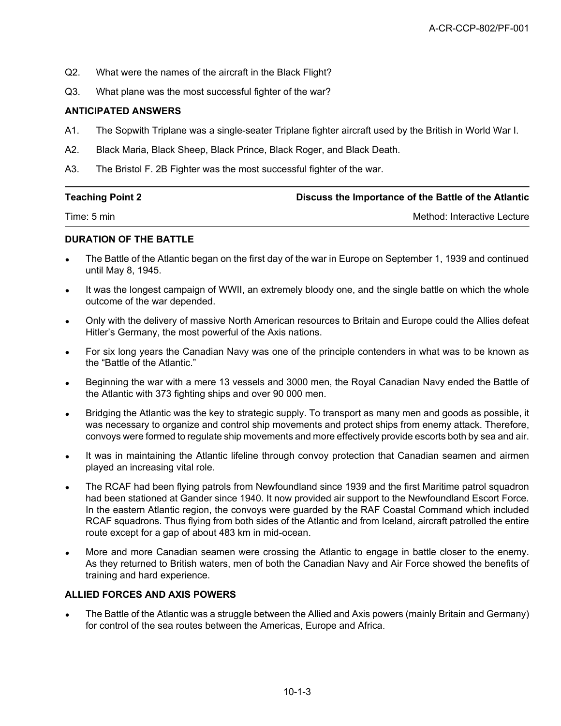- Q2. What were the names of the aircraft in the Black Flight?
- Q3. What plane was the most successful fighter of the war?

## ANTICIPATED ANSWERS

- A1. The Sopwith Triplane was a single-seater Triplane fighter aircraft used by the British in World War I.
- A2. Black Maria, Black Sheep, Black Prince, Black Roger, and Black Death.
- A3. The Bristol F. 2B Fighter was the most successful fighter of the war.

| <b>Teaching Point 2</b> | Discuss the Importance of the Battle of the Atlantic |
|-------------------------|------------------------------------------------------|
| Time: 5 min             | Method: Interactive Lecture                          |

## DURATION OF THE BATTLE

- The Battle of the Atlantic began on the first day of the war in Europe on September 1, 1939 and continued until May 8, 1945.
- It was the longest campaign of WWII, an extremely bloody one, and the single battle on which the whole outcome of the war depended.
- Only with the delivery of massive North American resources to Britain and Europe could the Allies defeat Hitler's Germany, the most powerful of the Axis nations.
- For six long years the Canadian Navy was one of the principle contenders in what was to be known as  $\bullet$ the "Battle of the Atlantic."
- Beginning the war with a mere 13 vessels and 3000 men, the Royal Canadian Navy ended the Battle of the Atlantic with 373 fighting ships and over 90 000 men.
- Bridging the Atlantic was the key to strategic supply. To transport as many men and goods as possible, it was necessary to organize and control ship movements and protect ships from enemy attack. Therefore, convoys were formed to regulate ship movements and more effectively provide escorts both by sea and air.
- It was in maintaining the Atlantic lifeline through convoy protection that Canadian seamen and airmen played an increasing vital role.
- The RCAF had been flying patrols from Newfoundland since 1939 and the first Maritime patrol squadron had been stationed at Gander since 1940. It now provided air support to the Newfoundland Escort Force. In the eastern Atlantic region, the convoys were guarded by the RAF Coastal Command which included RCAF squadrons. Thus flying from both sides of the Atlantic and from Iceland, aircraft patrolled the entire route except for a gap of about 483 km in mid-ocean.
- More and more Canadian seamen were crossing the Atlantic to engage in battle closer to the enemy. As they returned to British waters, men of both the Canadian Navy and Air Force showed the benefits of training and hard experience.

# ALLIED FORCES AND AXIS POWERS

The Battle of the Atlantic was a struggle between the Allied and Axis powers (mainly Britain and Germany) for control of the sea routes between the Americas, Europe and Africa.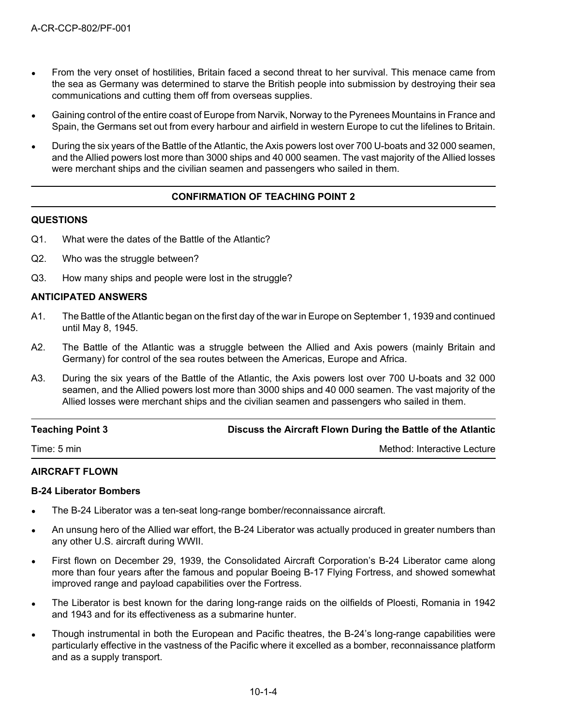- From the very onset of hostilities, Britain faced a second threat to her survival. This menace came from  $\bullet$ the sea as Germany was determined to starve the British people into submission by destroying their sea communications and cutting them off from overseas supplies.
- Gaining control of the entire coast of Europe from Narvik, Norway to the Pyrenees Mountains in France and Spain, the Germans set out from every harbour and airfield in western Europe to cut the lifelines to Britain.
- During the six years of the Battle of the Atlantic, the Axis powers lost over 700 U-boats and 32 000 seamen, and the Allied powers lost more than 3000 ships and 40 000 seamen. The vast majority of the Allied losses were merchant ships and the civilian seamen and passengers who sailed in them.

# CONFIRMATION OF TEACHING POINT 2

## QUESTIONS

- Q1. What were the dates of the Battle of the Atlantic?
- Q2. Who was the struggle between?
- Q3. How many ships and people were lost in the struggle?

## ANTICIPATED ANSWERS

- A1. The Battle of the Atlantic began on the first day of the war in Europe on September 1, 1939 and continued until May 8, 1945.
- A2. The Battle of the Atlantic was a struggle between the Allied and Axis powers (mainly Britain and Germany) for control of the sea routes between the Americas, Europe and Africa.
- A3. During the six years of the Battle of the Atlantic, the Axis powers lost over 700 U-boats and 32 000 seamen, and the Allied powers lost more than 3000 ships and 40 000 seamen. The vast majority of the Allied losses were merchant ships and the civilian seamen and passengers who sailed in them.

## Teaching Point 3 Discuss the Aircraft Flown During the Battle of the Atlantic

Time: 5 min Method: Interactive Lecture Company of Time: 5 min Method: Interactive Lecture

# AIRCRAFT FLOWN

## B-24 Liberator Bombers

- The B-24 Liberator was a ten-seat long-range bomber/reconnaissance aircraft.  $\bullet$
- An unsung hero of the Allied war effort, the B-24 Liberator was actually produced in greater numbers than  $\bullet$ any other U.S. aircraft during WWII.
- First flown on December 29, 1939, the Consolidated Aircraft Corporation's B-24 Liberator came along more than four years after the famous and popular Boeing B-17 Flying Fortress, and showed somewhat improved range and payload capabilities over the Fortress.
- The Liberator is best known for the daring long-range raids on the oilfields of Ploesti, Romania in 1942  $\bullet$ and 1943 and for its effectiveness as a submarine hunter.
- Though instrumental in both the European and Pacific theatres, the B-24's long-range capabilities were  $\bullet$ particularly effective in the vastness of the Pacific where it excelled as a bomber, reconnaissance platform and as a supply transport.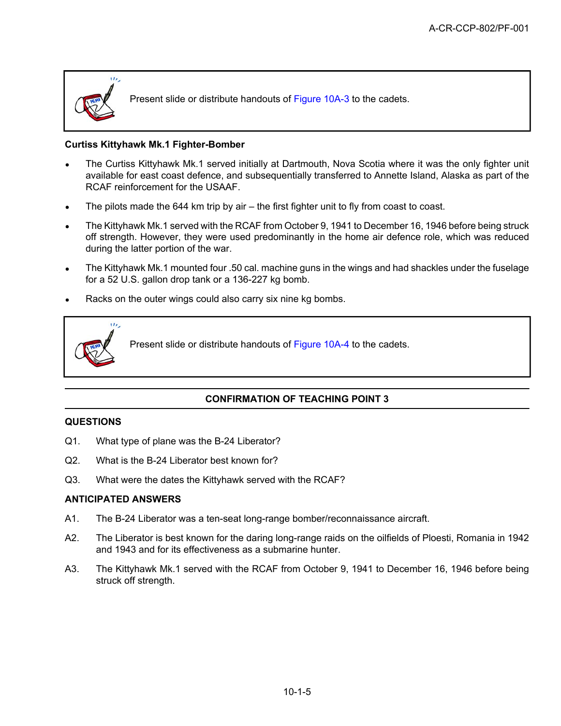

Present slide or distribute handouts of Figure 10A-3 to the cadets.

# Curtiss Kittyhawk Mk.1 Fighter-Bomber

- The Curtiss Kittyhawk Mk.1 served initially at Dartmouth, Nova Scotia where it was the only fighter unit available for east coast defence, and subsequentially transferred to Annette Island, Alaska as part of the RCAF reinforcement for the USAAF.
- The pilots made the 644 km trip by air the first fighter unit to fly from coast to coast.
- The Kittyhawk Mk.1 served with the RCAF from October 9, 1941 to December 16, 1946 before being struck off strength. However, they were used predominantly in the home air defence role, which was reduced during the latter portion of the war.
- The Kittyhawk Mk.1 mounted four .50 cal. machine guns in the wings and had shackles under the fuselage  $\bullet$ for a 52 U.S. gallon drop tank or a 136-227 kg bomb.
- Racks on the outer wings could also carry six nine kg bombs.



Present slide or distribute handouts of Figure 10A-4 to the cadets.

# CONFIRMATION OF TEACHING POINT 3

## QUESTIONS

- Q1. What type of plane was the B-24 Liberator?
- Q2. What is the B-24 Liberator best known for?
- Q3. What were the dates the Kittyhawk served with the RCAF?

## ANTICIPATED ANSWERS

- A1. The B-24 Liberator was a ten-seat long-range bomber/reconnaissance aircraft.
- A2. The Liberator is best known for the daring long-range raids on the oilfields of Ploesti, Romania in 1942 and 1943 and for its effectiveness as a submarine hunter.
- A3. The Kittyhawk Mk.1 served with the RCAF from October 9, 1941 to December 16, 1946 before being struck off strength.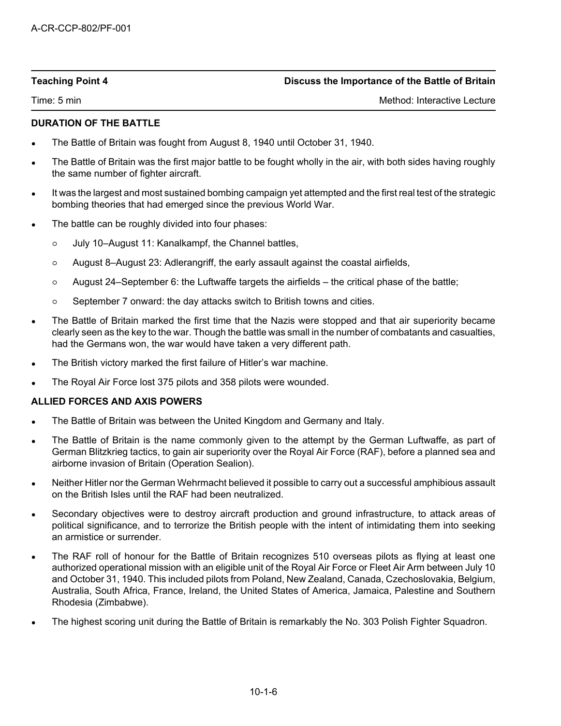# Teaching Point 4 Discuss the Importance of the Battle of Britain

Time: 5 min Method: Interactive Lecture Companies and Method: Interactive Lecture

# DURATION OF THE BATTLE

- The Battle of Britain was fought from August 8, 1940 until October 31, 1940.
- The Battle of Britain was the first major battle to be fought wholly in the air, with both sides having roughly  $\bullet$ the same number of fighter aircraft.
- It was the largest and most sustained bombing campaign yet attempted and the first real test of the strategic bombing theories that had emerged since the previous World War.
- The battle can be roughly divided into four phases:
	- July 10–August 11: Kanalkampf, the Channel battles,  $\circ$
	- August 8–August 23: Adlerangriff, the early assault against the coastal airfields,  $\circ$
	- August 24–September 6: the Luftwaffe targets the airfields the critical phase of the battle;  $\Omega$
	- $\circ$ September 7 onward: the day attacks switch to British towns and cities.
- The Battle of Britain marked the first time that the Nazis were stopped and that air superiority became clearly seen as the key to the war. Though the battle was small in the number of combatants and casualties, had the Germans won, the war would have taken a very different path.
- The British victory marked the first failure of Hitler's war machine.
- The Royal Air Force lost 375 pilots and 358 pilots were wounded.

# ALLIED FORCES AND AXIS POWERS

- The Battle of Britain was between the United Kingdom and Germany and Italy.
- The Battle of Britain is the name commonly given to the attempt by the German Luftwaffe, as part of  $\bullet$ German Blitzkrieg tactics, to gain air superiority over the Royal Air Force (RAF), before a planned sea and airborne invasion of Britain (Operation Sealion).
- Neither Hitler nor the German Wehrmacht believed it possible to carry out a successful amphibious assault on the British Isles until the RAF had been neutralized.
- Secondary objectives were to destroy aircraft production and ground infrastructure, to attack areas of political significance, and to terrorize the British people with the intent of intimidating them into seeking an armistice or surrender.
- The RAF roll of honour for the Battle of Britain recognizes 510 overseas pilots as flying at least one  $\bullet$ authorized operational mission with an eligible unit of the Royal Air Force or Fleet Air Arm between July 10 and October 31, 1940. This included pilots from Poland, New Zealand, Canada, Czechoslovakia, Belgium, Australia, South Africa, France, Ireland, the United States of America, Jamaica, Palestine and Southern Rhodesia (Zimbabwe).
- The highest scoring unit during the Battle of Britain is remarkably the No. 303 Polish Fighter Squadron.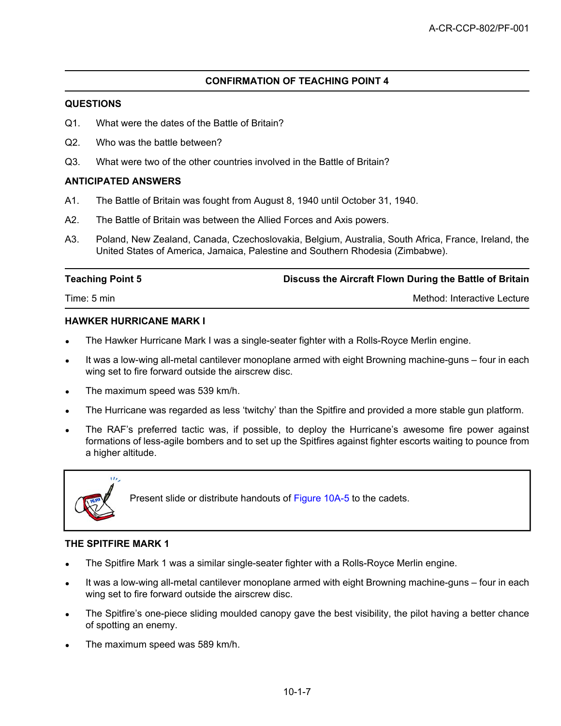# CONFIRMATION OF TEACHING POINT 4

## QUESTIONS

- Q1. What were the dates of the Battle of Britain?
- Q2. Who was the battle between?
- Q3. What were two of the other countries involved in the Battle of Britain?

## ANTICIPATED ANSWERS

- A1. The Battle of Britain was fought from August 8, 1940 until October 31, 1940.
- A2. The Battle of Britain was between the Allied Forces and Axis powers.
- A3. Poland, New Zealand, Canada, Czechoslovakia, Belgium, Australia, South Africa, France, Ireland, the United States of America, Jamaica, Palestine and Southern Rhodesia (Zimbabwe).

Teaching Point 5 Discuss the Aircraft Flown During the Battle of Britain

# Time: 5 min Method: Interactive Lecture Communication of the Method: Interactive Lecture

## HAWKER HURRICANE MARK I

- The Hawker Hurricane Mark I was a single-seater fighter with a Rolls-Royce Merlin engine.
- It was a low-wing all-metal cantilever monoplane armed with eight Browning machine-guns four in each wing set to fire forward outside the airscrew disc.
- The maximum speed was 539 km/h.
- The Hurricane was regarded as less 'twitchy' than the Spitfire and provided a more stable gun platform.
- The RAF's preferred tactic was, if possible, to deploy the Hurricane's awesome fire power against formations of less-agile bombers and to set up the Spitfires against fighter escorts waiting to pounce from a higher altitude.



Present slide or distribute handouts of Figure 10A-5 to the cadets.

# THE SPITFIRE MARK 1

- The Spitfire Mark 1 was a similar single-seater fighter with a Rolls-Royce Merlin engine.
- It was a low-wing all-metal cantilever monoplane armed with eight Browning machine-guns four in each wing set to fire forward outside the airscrew disc.
- The Spitfire's one-piece sliding moulded canopy gave the best visibility, the pilot having a better chance of spotting an enemy.
- The maximum speed was 589 km/h.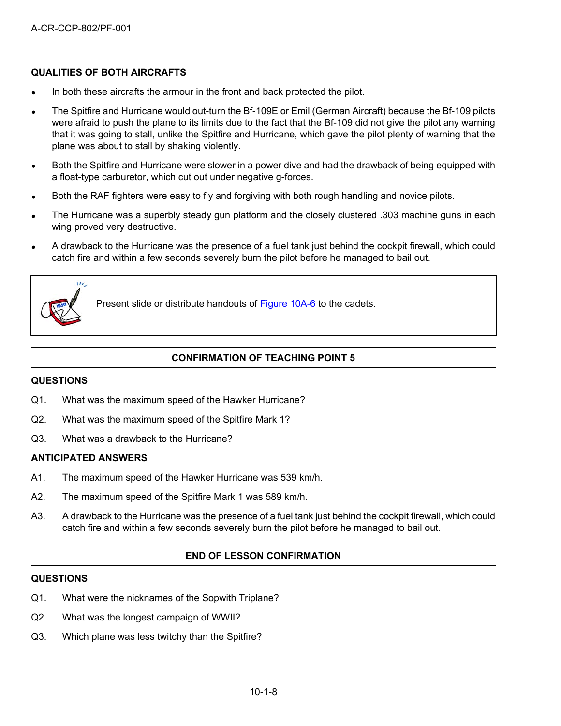# QUALITIES OF BOTH AIRCRAFTS

- In both these aircrafts the armour in the front and back protected the pilot.
- The Spitfire and Hurricane would out-turn the Bf-109E or Emil (German Aircraft) because the Bf-109 pilots  $\bullet$ were afraid to push the plane to its limits due to the fact that the Bf-109 did not give the pilot any warning that it was going to stall, unlike the Spitfire and Hurricane, which gave the pilot plenty of warning that the plane was about to stall by shaking violently.
- Both the Spitfire and Hurricane were slower in a power dive and had the drawback of being equipped with a float-type carburetor, which cut out under negative g-forces.
- Both the RAF fighters were easy to fly and forgiving with both rough handling and novice pilots.
- The Hurricane was a superbly steady gun platform and the closely clustered .303 machine guns in each wing proved very destructive.
- A drawback to the Hurricane was the presence of a fuel tank just behind the cockpit firewall, which could catch fire and within a few seconds severely burn the pilot before he managed to bail out.



Present slide or distribute handouts of Figure 10A-6 to the cadets.

# CONFIRMATION OF TEACHING POINT 5

# **QUESTIONS**

- Q1. What was the maximum speed of the Hawker Hurricane?
- Q2. What was the maximum speed of the Spitfire Mark 1?
- Q3. What was a drawback to the Hurricane?

## ANTICIPATED ANSWERS

- A1. The maximum speed of the Hawker Hurricane was 539 km/h.
- A2. The maximum speed of the Spitfire Mark 1 was 589 km/h.
- A3. A drawback to the Hurricane was the presence of a fuel tank just behind the cockpit firewall, which could catch fire and within a few seconds severely burn the pilot before he managed to bail out.

# END OF LESSON CONFIRMATION

## **QUESTIONS**

- Q1. What were the nicknames of the Sopwith Triplane?
- Q2. What was the longest campaign of WWII?
- Q3. Which plane was less twitchy than the Spitfire?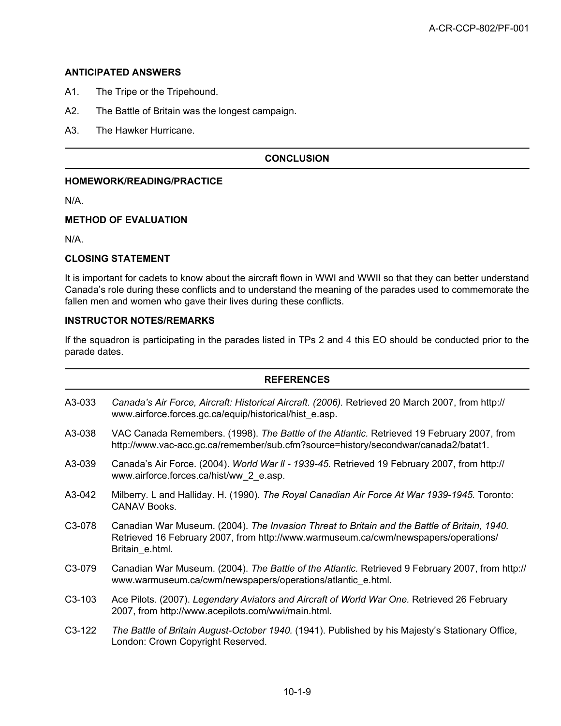# ANTICIPATED ANSWERS

- A1. The Tripe or the Tripehound.
- A2. The Battle of Britain was the longest campaign.
- A3. The Hawker Hurricane.

# **CONCLUSION**

## HOMEWORK/READING/PRACTICE

N/A.

## METHOD OF EVALUATION

N/A.

# CLOSING STATEMENT

It is important for cadets to know about the aircraft flown in WWI and WWII so that they can better understand Canada's role during these conflicts and to understand the meaning of the parades used to commemorate the fallen men and women who gave their lives during these conflicts.

# INSTRUCTOR NOTES/REMARKS

If the squadron is participating in the parades listed in TPs 2 and 4 this EO should be conducted prior to the parade dates.

| <b>REFERENCES</b>   |                                                                                                                                                                                                        |
|---------------------|--------------------------------------------------------------------------------------------------------------------------------------------------------------------------------------------------------|
| A3-033              | Canada's Air Force, Aircraft: Historical Aircraft. (2006). Retrieved 20 March 2007, from http://<br>www.airforce.forces.gc.ca/equip/historical/hist_e.asp.                                             |
| A3-038              | VAC Canada Remembers. (1998). The Battle of the Atlantic. Retrieved 19 February 2007, from<br>http://www.vac-acc.gc.ca/remember/sub.cfm?source=history/secondwar/canada2/batat1.                       |
| A3-039              | Canada's Air Force. (2004). World War II - 1939-45. Retrieved 19 February 2007, from http://<br>www.airforce.forces.ca/hist/ww 2 e.asp.                                                                |
| A3-042              | Milberry. L and Halliday. H. (1990). The Royal Canadian Air Force At War 1939-1945. Toronto:<br><b>CANAV Books.</b>                                                                                    |
| C3-078              | Canadian War Museum. (2004). The Invasion Threat to Britain and the Battle of Britain, 1940.<br>Retrieved 16 February 2007, from http://www.warmuseum.ca/cwm/newspapers/operations/<br>Britain e.html. |
| C <sub>3</sub> -079 | Canadian War Museum. (2004). The Battle of the Atlantic. Retrieved 9 February 2007, from http://<br>www.warmuseum.ca/cwm/newspapers/operations/atlantic e.html.                                        |
| $C3-103$            | Ace Pilots. (2007). Legendary Aviators and Aircraft of World War One. Retrieved 26 February<br>2007, from http://www.acepilots.com/wwi/main.html.                                                      |
| C3-122              | The Battle of Britain August-October 1940. (1941). Published by his Majesty's Stationary Office,<br>London: Crown Copyright Reserved.                                                                  |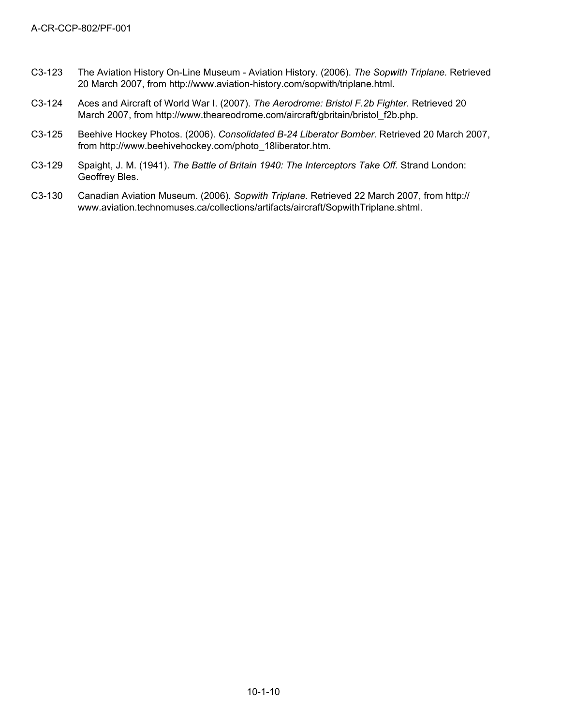- C3-123 The Aviation History On-Line Museum Aviation History. (2006). The Sopwith Triplane. Retrieved 20 March 2007, from http://www.aviation-history.com/sopwith/triplane.html.
- C3-124 Aces and Aircraft of World War I. (2007). The Aerodrome: Bristol F.2b Fighter. Retrieved 20 March 2007, from http://www.theareodrome.com/aircraft/gbritain/bristol\_f2b.php.
- C3-125 Beehive Hockey Photos. (2006). Consolidated B-24 Liberator Bomber. Retrieved 20 March 2007, from http://www.beehivehockey.com/photo\_18liberator.htm.
- C3-129 Spaight, J. M. (1941). The Battle of Britain 1940: The Interceptors Take Off. Strand London: Geoffrey Bles.
- C3-130 Canadian Aviation Museum. (2006). Sopwith Triplane. Retrieved 22 March 2007, from http:// www.aviation.technomuses.ca/collections/artifacts/aircraft/SopwithTriplane.shtml.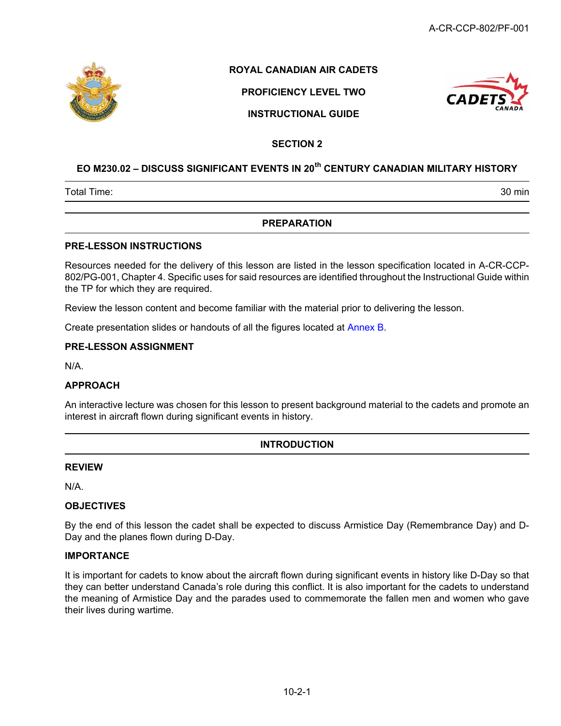

# ROYAL CANADIAN AIR CADETS

PROFICIENCY LEVEL TWO



INSTRUCTIONAL GUIDE

# SECTION 2

# EO M230.02 - DISCUSS SIGNIFICANT EVENTS IN 20<sup>th</sup> CENTURY CANADIAN MILITARY HISTORY

Total Time: 30 min

# PREPARATION

## PRE-LESSON INSTRUCTIONS

Resources needed for the delivery of this lesson are listed in the lesson specification located in A-CR-CCP-802/PG-001, Chapter 4. Specific uses for said resources are identified throughout the Instructional Guide within the TP for which they are required.

Review the lesson content and become familiar with the material prior to delivering the lesson.

Create presentation slides or handouts of all the figures located at Annex B.

## PRE-LESSON ASSIGNMENT

N/A.

# APPROACH

An interactive lecture was chosen for this lesson to present background material to the cadets and promote an interest in aircraft flown during significant events in history.

# INTRODUCTION

## REVIEW

N/A.

## **OBJECTIVES**

By the end of this lesson the cadet shall be expected to discuss Armistice Day (Remembrance Day) and D-Day and the planes flown during D-Day.

## **IMPORTANCE**

It is important for cadets to know about the aircraft flown during significant events in history like D-Day so that they can better understand Canada's role during this conflict. It is also important for the cadets to understand the meaning of Armistice Day and the parades used to commemorate the fallen men and women who gave their lives during wartime.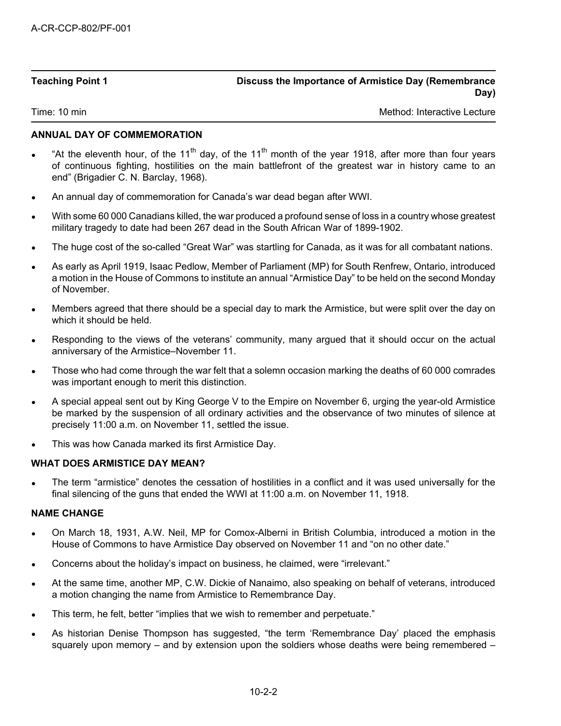# Teaching Point 1 Discuss the Importance of Armistice Day (Remembrance Day)

Time: 10 min Method: Interactive Lecture Communication of the Method: Interactive Lecture

# ANNUAL DAY OF COMMEMORATION

- "At the eleventh hour, of the 11<sup>th</sup> day, of the 11<sup>th</sup> month of the year 1918, after more than four years of continuous fighting, hostilities on the main battlefront of the greatest war in history came to an end" (Brigadier C. N. Barclay, 1968).
- An annual day of commemoration for Canada's war dead began after WWI.  $\bullet$
- With some 60 000 Canadians killed, the war produced a profound sense of loss in a country whose greatest military tragedy to date had been 267 dead in the South African War of 1899-1902.
- The huge cost of the so-called "Great War" was startling for Canada, as it was for all combatant nations.  $\bullet$
- As early as April 1919, Isaac Pedlow, Member of Parliament (MP) for South Renfrew, Ontario, introduced a motion in the House of Commons to institute an annual "Armistice Day" to be held on the second Monday of November.
- Members agreed that there should be a special day to mark the Armistice, but were split over the day on which it should be held.
- Responding to the views of the veterans' community, many argued that it should occur on the actual anniversary of the Armistice–November 11.
- Those who had come through the war felt that a solemn occasion marking the deaths of 60 000 comrades  $\bullet$ was important enough to merit this distinction.
- A special appeal sent out by King George V to the Empire on November 6, urging the year-old Armistice  $\bullet$ be marked by the suspension of all ordinary activities and the observance of two minutes of silence at precisely 11:00 a.m. on November 11, settled the issue.
- This was how Canada marked its first Armistice Day.

# WHAT DOES ARMISTICE DAY MEAN?

The term "armistice" denotes the cessation of hostilities in a conflict and it was used universally for the final silencing of the guns that ended the WWI at 11:00 a.m. on November 11, 1918.

# NAME CHANGE

- On March 18, 1931, A.W. Neil, MP for Comox-Alberni in British Columbia, introduced a motion in the House of Commons to have Armistice Day observed on November 11 and "on no other date."
- Concerns about the holiday's impact on business, he claimed, were "irrelevant."
- At the same time, another MP, C.W. Dickie of Nanaimo, also speaking on behalf of veterans, introduced a motion changing the name from Armistice to Remembrance Day.
- This term, he felt, better "implies that we wish to remember and perpetuate."
- As historian Denise Thompson has suggested, "the term 'Remembrance Day' placed the emphasis squarely upon memory – and by extension upon the soldiers whose deaths were being remembered –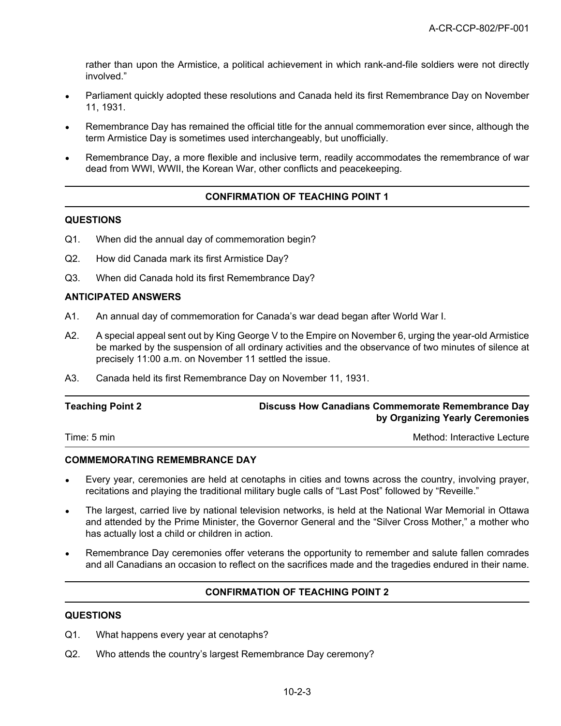rather than upon the Armistice, a political achievement in which rank-and-file soldiers were not directly involved."

- Parliament quickly adopted these resolutions and Canada held its first Remembrance Day on November 11, 1931.
- Remembrance Day has remained the official title for the annual commemoration ever since, although the term Armistice Day is sometimes used interchangeably, but unofficially.
- Remembrance Day, a more flexible and inclusive term, readily accommodates the remembrance of war dead from WWI, WWII, the Korean War, other conflicts and peacekeeping.

# CONFIRMATION OF TEACHING POINT 1

## QUESTIONS

- Q1. When did the annual day of commemoration begin?
- Q2. How did Canada mark its first Armistice Day?
- Q3. When did Canada hold its first Remembrance Day?

## ANTICIPATED ANSWERS

- A1. An annual day of commemoration for Canada's war dead began after World War I.
- A2. A special appeal sent out by King George V to the Empire on November 6, urging the year-old Armistice be marked by the suspension of all ordinary activities and the observance of two minutes of silence at precisely 11:00 a.m. on November 11 settled the issue.
- A3. Canada held its first Remembrance Day on November 11, 1931.

# Teaching Point 2 Discuss How Canadians Commemorate Remembrance Day by Organizing Yearly Ceremonies

Time: 5 min Method: Interactive Lecture Company of Time: 5 min Method: Interactive Lecture

## COMMEMORATING REMEMBRANCE DAY

- Every year, ceremonies are held at cenotaphs in cities and towns across the country, involving prayer, recitations and playing the traditional military bugle calls of "Last Post" followed by "Reveille."
- The largest, carried live by national television networks, is held at the National War Memorial in Ottawa and attended by the Prime Minister, the Governor General and the "Silver Cross Mother," a mother who has actually lost a child or children in action.
- Remembrance Day ceremonies offer veterans the opportunity to remember and salute fallen comrades and all Canadians an occasion to reflect on the sacrifices made and the tragedies endured in their name.

# CONFIRMATION OF TEACHING POINT 2

## **QUESTIONS**

- Q1. What happens every year at cenotaphs?
- Q2. Who attends the country's largest Remembrance Day ceremony?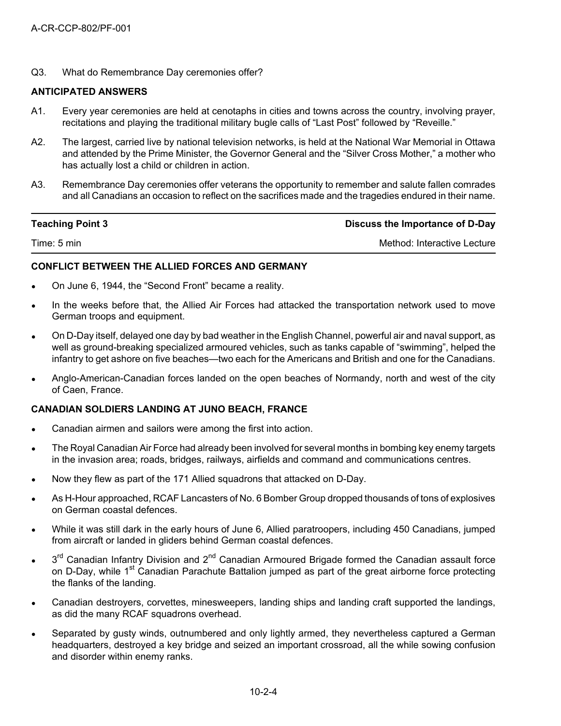Q3. What do Remembrance Day ceremonies offer?

# ANTICIPATED ANSWERS

- A1. Every year ceremonies are held at cenotaphs in cities and towns across the country, involving prayer, recitations and playing the traditional military bugle calls of "Last Post" followed by "Reveille."
- A2. The largest, carried live by national television networks, is held at the National War Memorial in Ottawa and attended by the Prime Minister, the Governor General and the "Silver Cross Mother," a mother who has actually lost a child or children in action.
- A3. Remembrance Day ceremonies offer veterans the opportunity to remember and salute fallen comrades and all Canadians an occasion to reflect on the sacrifices made and the tragedies endured in their name.

Teaching Point 3 Discuss the Importance of D-Day

Time: 5 min Method: Interactive Lecture Companies and Method: Interactive Lecture

## CONFLICT BETWEEN THE ALLIED FORCES AND GERMANY

- On June 6, 1944, the "Second Front" became a reality.
- In the weeks before that, the Allied Air Forces had attacked the transportation network used to move German troops and equipment.
- On D-Day itself, delayed one day by bad weather in the English Channel, powerful air and naval support, as well as ground-breaking specialized armoured vehicles, such as tanks capable of "swimming", helped the infantry to get ashore on five beaches—two each for the Americans and British and one for the Canadians.
- Anglo-American-Canadian forces landed on the open beaches of Normandy, north and west of the city of Caen, France.

# CANADIAN SOLDIERS LANDING AT JUNO BEACH, FRANCE

- Canadian airmen and sailors were among the first into action.
- The Royal Canadian Air Force had already been involved for several months in bombing key enemy targets in the invasion area; roads, bridges, railways, airfields and command and communications centres.
- Now they flew as part of the 171 Allied squadrons that attacked on D-Day.  $\bullet$
- As H-Hour approached, RCAF Lancasters of No. 6 Bomber Group dropped thousands of tons of explosives on German coastal defences.
- While it was still dark in the early hours of June 6, Allied paratroopers, including 450 Canadians, jumped from aircraft or landed in gliders behind German coastal defences.
- 3<sup>rd</sup> Canadian Infantry Division and 2<sup>nd</sup> Canadian Armoured Brigade formed the Canadian assault force on D-Day, while 1<sup>st</sup> Canadian Parachute Battalion jumped as part of the great airborne force protecting the flanks of the landing.
- Canadian destroyers, corvettes, minesweepers, landing ships and landing craft supported the landings,  $\bullet$ as did the many RCAF squadrons overhead.
- Separated by gusty winds, outnumbered and only lightly armed, they nevertheless captured a German headquarters, destroyed a key bridge and seized an important crossroad, all the while sowing confusion and disorder within enemy ranks.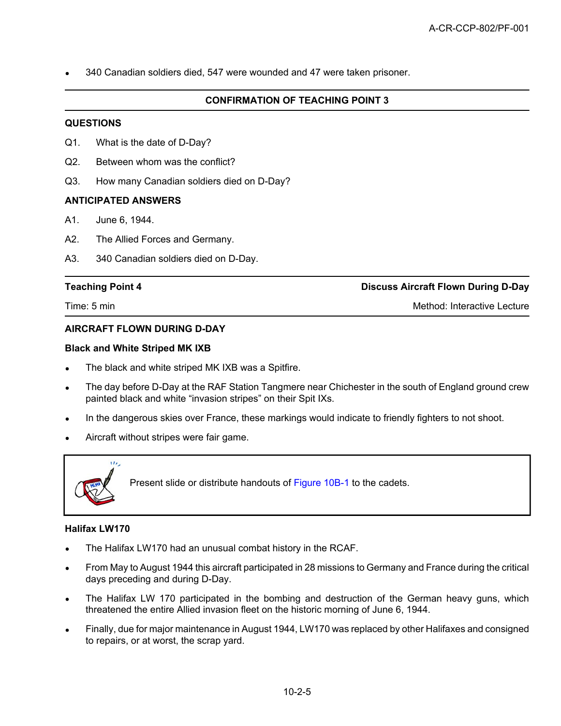340 Canadian soldiers died, 547 were wounded and 47 were taken prisoner.

# CONFIRMATION OF TEACHING POINT 3

# **QUESTIONS**

- Q1. What is the date of D-Day?
- Q2. Between whom was the conflict?
- Q3. How many Canadian soldiers died on D-Day?

## ANTICIPATED ANSWERS

- A1. June 6, 1944.
- A2. The Allied Forces and Germany.
- A3. 340 Canadian soldiers died on D-Day.

Teaching Point 4 **Discuss Aircraft Flown During D-Day** 

Time: 5 min Method: Interactive Lecture Company of Time: 5 min Method: Interactive Lecture

## AIRCRAFT FLOWN DURING D-DAY

## Black and White Striped MK IXB

- The black and white striped MK IXB was a Spitfire.
- The day before D-Day at the RAF Station Tangmere near Chichester in the south of England ground crew painted black and white "invasion stripes" on their Spit IXs.
- In the dangerous skies over France, these markings would indicate to friendly fighters to not shoot.
- Aircraft without stripes were fair game.



Present slide or distribute handouts of Figure 10B-1 to the cadets.

## Halifax LW170

- The Halifax LW170 had an unusual combat history in the RCAF.
- From May to August 1944 this aircraft participated in 28 missions to Germany and France during the critical days preceding and during D-Day.
- The Halifax LW 170 participated in the bombing and destruction of the German heavy guns, which threatened the entire Allied invasion fleet on the historic morning of June 6, 1944.
- Finally, due for major maintenance in August 1944, LW170 was replaced by other Halifaxes and consigned to repairs, or at worst, the scrap yard.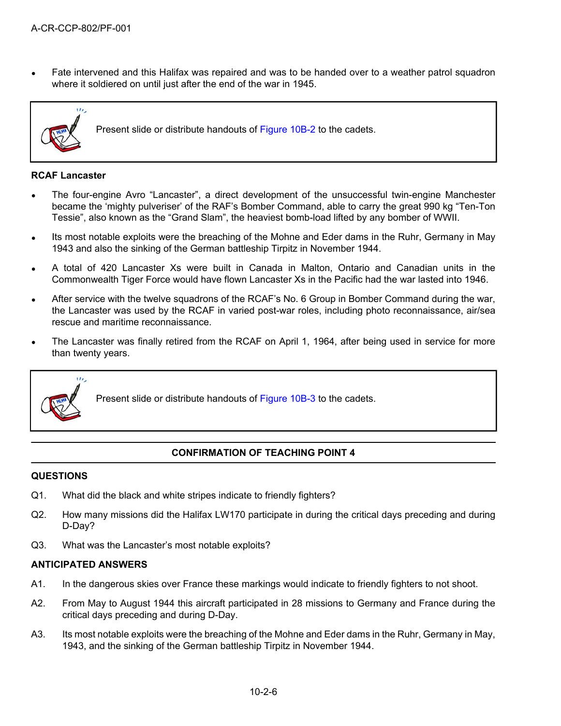Fate intervened and this Halifax was repaired and was to be handed over to a weather patrol squadron where it soldiered on until just after the end of the war in 1945.



Present slide or distribute handouts of Figure 10B-2 to the cadets.

## RCAF Lancaster

- The four-engine Avro "Lancaster", a direct development of the unsuccessful twin-engine Manchester became the 'mighty pulveriser' of the RAF's Bomber Command, able to carry the great 990 kg "Ten-Ton Tessie", also known as the "Grand Slam", the heaviest bomb-load lifted by any bomber of WWII.
- Its most notable exploits were the breaching of the Mohne and Eder dams in the Ruhr, Germany in May  $\bullet$ 1943 and also the sinking of the German battleship Tirpitz in November 1944.
- A total of 420 Lancaster Xs were built in Canada in Malton, Ontario and Canadian units in the Commonwealth Tiger Force would have flown Lancaster Xs in the Pacific had the war lasted into 1946.
- After service with the twelve squadrons of the RCAF's No. 6 Group in Bomber Command during the war, the Lancaster was used by the RCAF in varied post-war roles, including photo reconnaissance, air/sea rescue and maritime reconnaissance.
- The Lancaster was finally retired from the RCAF on April 1, 1964, after being used in service for more than twenty years.



Present slide or distribute handouts of Figure 10B-3 to the cadets.

# CONFIRMATION OF TEACHING POINT 4

## **QUESTIONS**

- Q1. What did the black and white stripes indicate to friendly fighters?
- Q2. How many missions did the Halifax LW170 participate in during the critical days preceding and during D-Day?
- Q3. What was the Lancaster's most notable exploits?

# ANTICIPATED ANSWERS

- A1. In the dangerous skies over France these markings would indicate to friendly fighters to not shoot.
- A2. From May to August 1944 this aircraft participated in 28 missions to Germany and France during the critical days preceding and during D-Day.
- A3. Its most notable exploits were the breaching of the Mohne and Eder dams in the Ruhr, Germany in May, 1943, and the sinking of the German battleship Tirpitz in November 1944.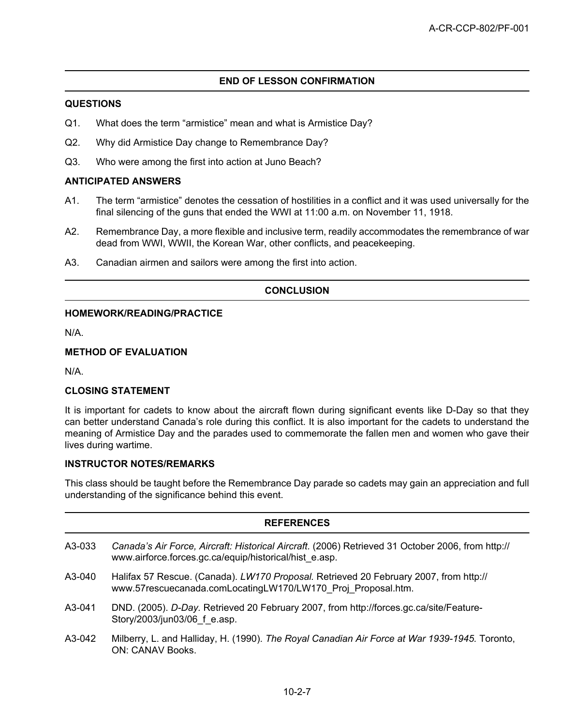# END OF LESSON CONFIRMATION

## QUESTIONS

- Q1. What does the term "armistice" mean and what is Armistice Day?
- Q2. Why did Armistice Day change to Remembrance Day?
- Q3. Who were among the first into action at Juno Beach?

## ANTICIPATED ANSWERS

- A1. The term "armistice" denotes the cessation of hostilities in a conflict and it was used universally for the final silencing of the guns that ended the WWI at 11:00 a.m. on November 11, 1918.
- A2. Remembrance Day, a more flexible and inclusive term, readily accommodates the remembrance of war dead from WWI, WWII, the Korean War, other conflicts, and peacekeeping.
- A3. Canadian airmen and sailors were among the first into action.

# **CONCLUSION**

## HOMEWORK/READING/PRACTICE

N/A.

## METHOD OF EVALUATION

N/A.

# CLOSING STATEMENT

It is important for cadets to know about the aircraft flown during significant events like D-Day so that they can better understand Canada's role during this conflict. It is also important for the cadets to understand the meaning of Armistice Day and the parades used to commemorate the fallen men and women who gave their lives during wartime.

## INSTRUCTOR NOTES/REMARKS

This class should be taught before the Remembrance Day parade so cadets may gain an appreciation and full understanding of the significance behind this event.

- A3-033 Canada's Air Force, Aircraft: Historical Aircraft. (2006) Retrieved 31 October 2006, from http:// www.airforce.forces.gc.ca/equip/historical/hist\_e.asp.
- A3-040 Halifax 57 Rescue. (Canada). LW170 Proposal. Retrieved 20 February 2007, from http:// www.57rescuecanada.comLocatingLW170/LW170\_Proj\_Proposal.htm.
- A3-041 DND. (2005). D-Day. Retrieved 20 February 2007, from http://forces.gc.ca/site/Feature-Story/2003/jun03/06\_f\_e.asp.
- A3-042 Milberry, L. and Halliday, H. (1990). The Royal Canadian Air Force at War 1939-1945. Toronto, ON: CANAV Books.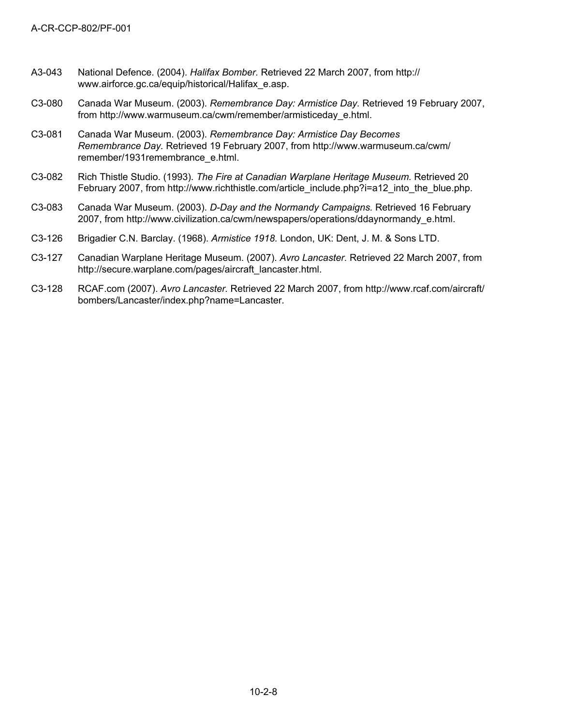- A3-043 National Defence. (2004). Halifax Bomber. Retrieved 22 March 2007, from http:// www.airforce.gc.ca/equip/historical/Halifax\_e.asp.
- C3-080 Canada War Museum. (2003). Remembrance Day: Armistice Day. Retrieved 19 February 2007, from http://www.warmuseum.ca/cwm/remember/armisticeday\_e.html.
- C3-081 Canada War Museum. (2003). Remembrance Day: Armistice Day Becomes Remembrance Day. Retrieved 19 February 2007, from http://www.warmuseum.ca/cwm/ remember/1931remembrance\_e.html.
- C3-082 Rich Thistle Studio. (1993). The Fire at Canadian Warplane Heritage Museum. Retrieved 20 February 2007, from http://www.richthistle.com/article\_include.php?i=a12\_into\_the\_blue.php.
- C3-083 Canada War Museum. (2003). D-Day and the Normandy Campaigns. Retrieved 16 February 2007, from http://www.civilization.ca/cwm/newspapers/operations/ddaynormandy\_e.html.
- C3-126 Brigadier C.N. Barclay. (1968). Armistice 1918. London, UK: Dent, J. M. & Sons LTD.
- C3-127 Canadian Warplane Heritage Museum. (2007). Avro Lancaster. Retrieved 22 March 2007, from http://secure.warplane.com/pages/aircraft\_lancaster.html.
- C3-128 RCAF.com (2007). Avro Lancaster. Retrieved 22 March 2007, from http://www.rcaf.com/aircraft/ bombers/Lancaster/index.php?name=Lancaster.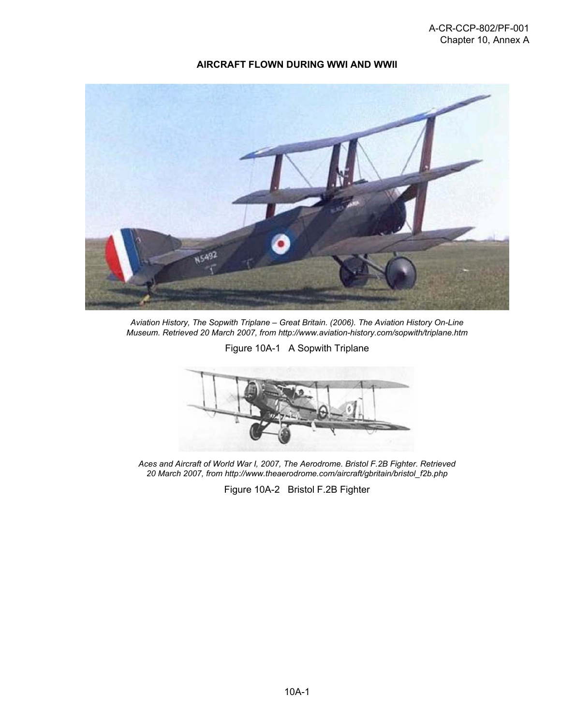# AIRCRAFT FLOWN DURING WWI AND WWII



Aviation History, The Sopwith Triplane – Great Britain. (2006). The Aviation History On-Line Museum. Retrieved 20 March 2007, from http://www.aviation-history.com/sopwith/triplane.htm

Figure 10A-1 A Sopwith Triplane



Aces and Aircraft of World War I, 2007, The Aerodrome. Bristol F.2B Fighter. Retrieved 20 March 2007, from http://www.theaerodrome.com/aircraft/gbritain/bristol\_f2b.php

Figure 10A-2 Bristol F.2B Fighter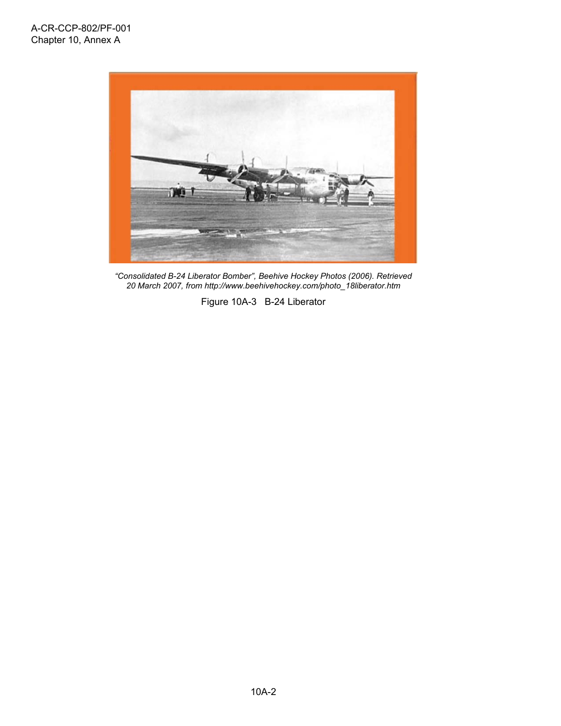

"Consolidated B-24 Liberator Bomber", Beehive Hockey Photos (2006). Retrieved 20 March 2007, from http://www.beehivehockey.com/photo\_18liberator.htm

Figure 10A-3 B-24 Liberator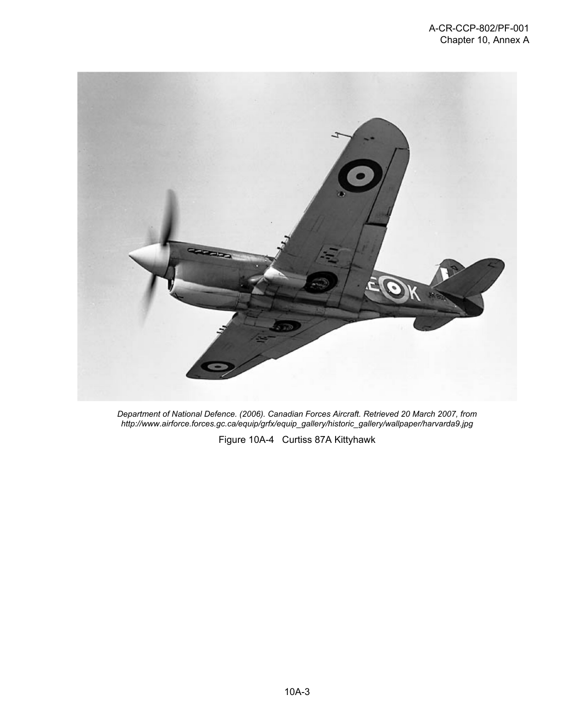

Department of National Defence. (2006). Canadian Forces Aircraft. Retrieved 20 March 2007, from http://www.airforce.forces.gc.ca/equip/grfx/equip\_gallery/historic\_gallery/wallpaper/harvarda9.jpg

Figure 10A-4 Curtiss 87A Kittyhawk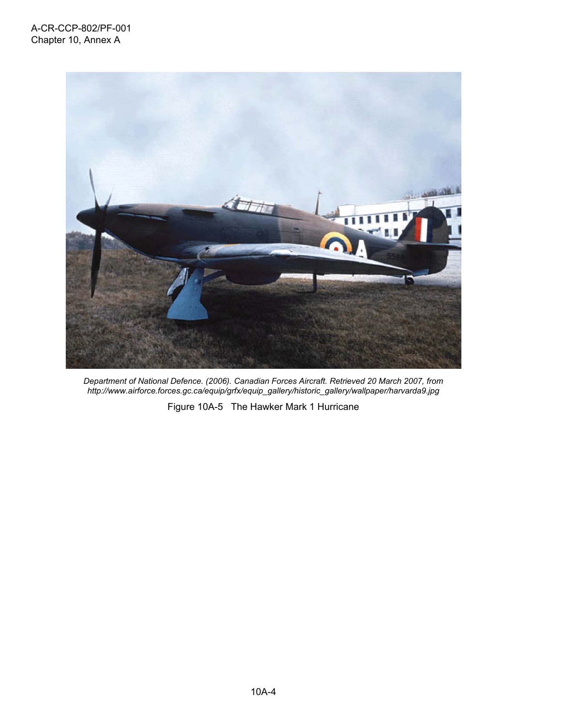

Department of National Defence. (2006). Canadian Forces Aircraft. Retrieved 20 March 2007, from http://www.airforce.forces.gc.ca/equip/grfx/equip\_gallery/historic\_gallery/wallpaper/harvarda9.jpg

Figure 10A-5 The Hawker Mark 1 Hurricane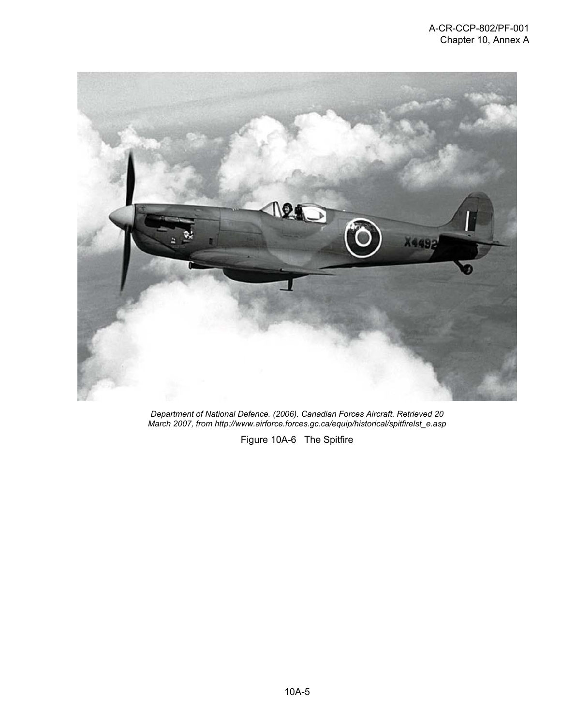

Department of National Defence. (2006). Canadian Forces Aircraft. Retrieved 20 March 2007, from http://www.airforce.forces.gc.ca/equip/historical/spitfirelst\_e.asp

Figure 10A-6 The Spitfire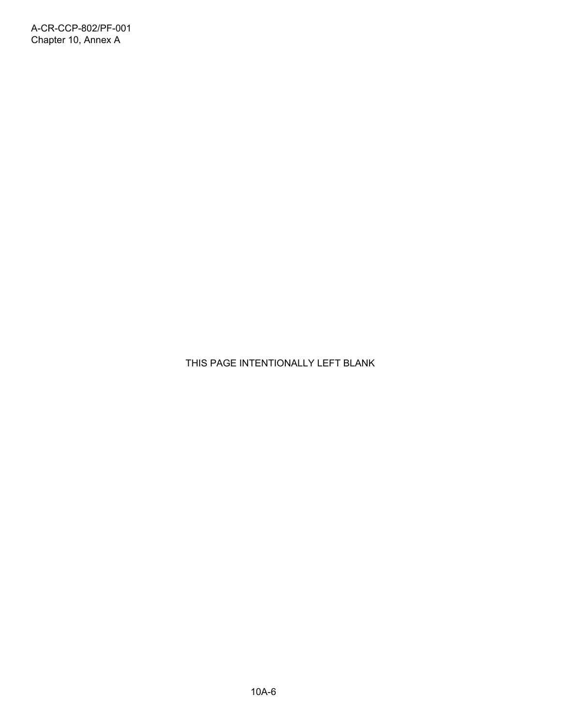THIS PAGE INTENTIONALLY LEFT BLANK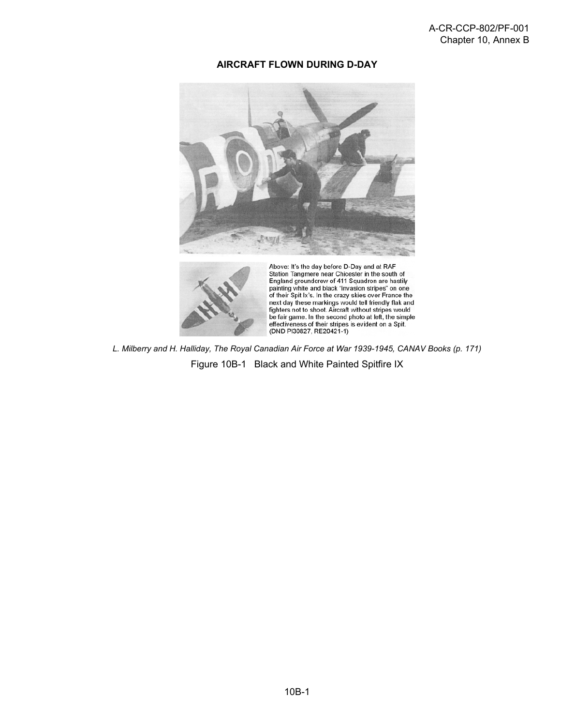## AIRCRAFT FLOWN DURING D-DAY

![](_page_26_Picture_2.jpeg)

![](_page_26_Picture_3.jpeg)

Above: It's the day before D-Day and at RAF Station Tangmere near Chicester in the south of England groundcrew of 411 Squadron are hastily<br>painting white and black "invasion stripes" on one<br>of their Spit Ix's. In the crazy skies over France the next day these markings would tell friendly flak and fighters not to shoot. Aircraft without stripes would be fair game. In the second photo at left, the simple de lan game. In the second photo at left, the simple<br>effectiveness of their stripes is evident on a Spit.<br>(DND PI30827, RE20421-1)

L. Milberry and H. Halliday, The Royal Canadian Air Force at War 1939-1945, CANAV Books (p. 171) Figure 10B-1 Black and White Painted Spitfire IX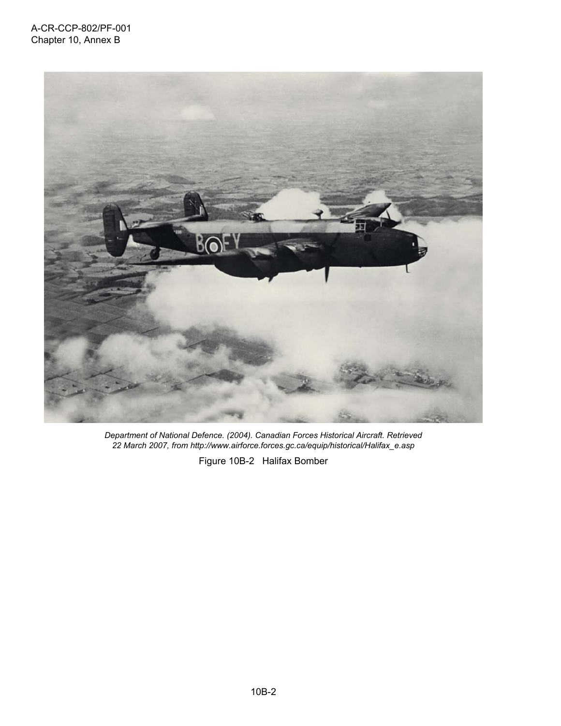![](_page_27_Picture_1.jpeg)

Department of National Defence. (2004). Canadian Forces Historical Aircraft. Retrieved 22 March 2007, from http://www.airforce.forces.gc.ca/equip/historical/Halifax\_e.asp

Figure 10B-2 Halifax Bomber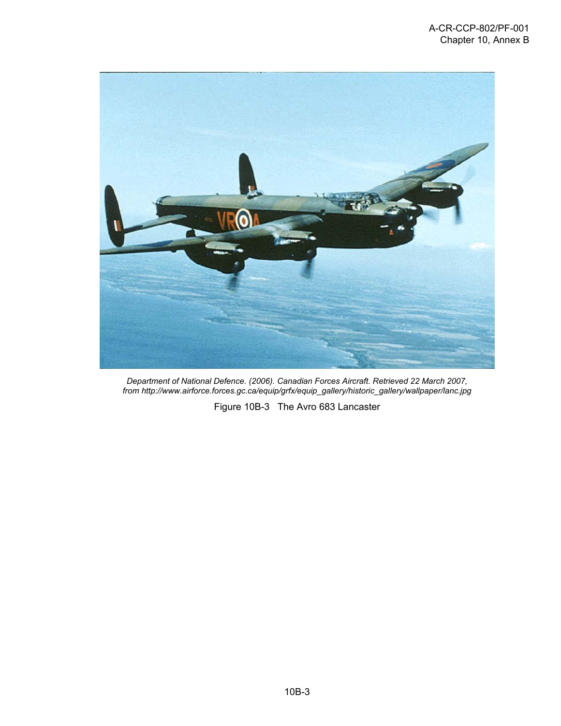![](_page_28_Picture_1.jpeg)

Department of National Defence. (2006). Canadian Forces Aircraft. Retrieved 22 March 2007, from http://www.airforce.forces.gc.ca/equip/grfx/equip\_gallery/historic\_gallery/wallpaper/lanc.jpg

Figure 10B-3 The Avro 683 Lancaster